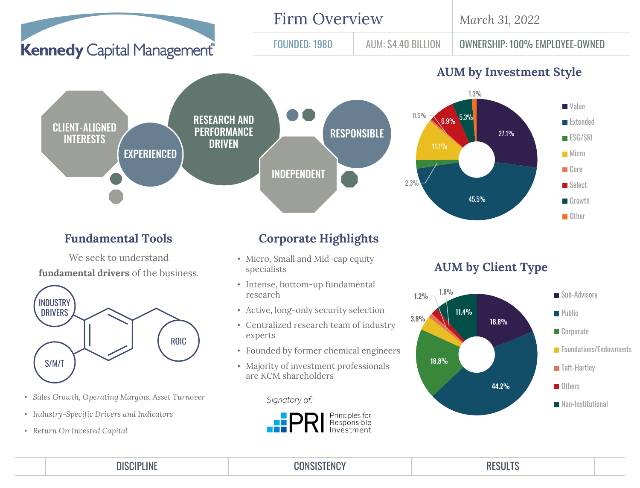

## **Fundamental Tools**

We seek to understand

**fundamental drivers** of the business.



- *Sales Growth, Operating Margins, Asset Turnover*
- *Industry-Specific Drivers and Indicators*
- *Return On Invested Capital*

## **Corporate Highlights**

- Micro, Small and Mid-cap equity specialists
- Intense, bottom-up fundamental research
- Active, long-only security selection
- Centralized research team of industry experts
- Founded by former chemical engineers
- Majority of investment professionals are KCM shareholders

Signatory of:



DISCIPLINE CONSISTENCY RESULTS

## **AUM by Client Type**